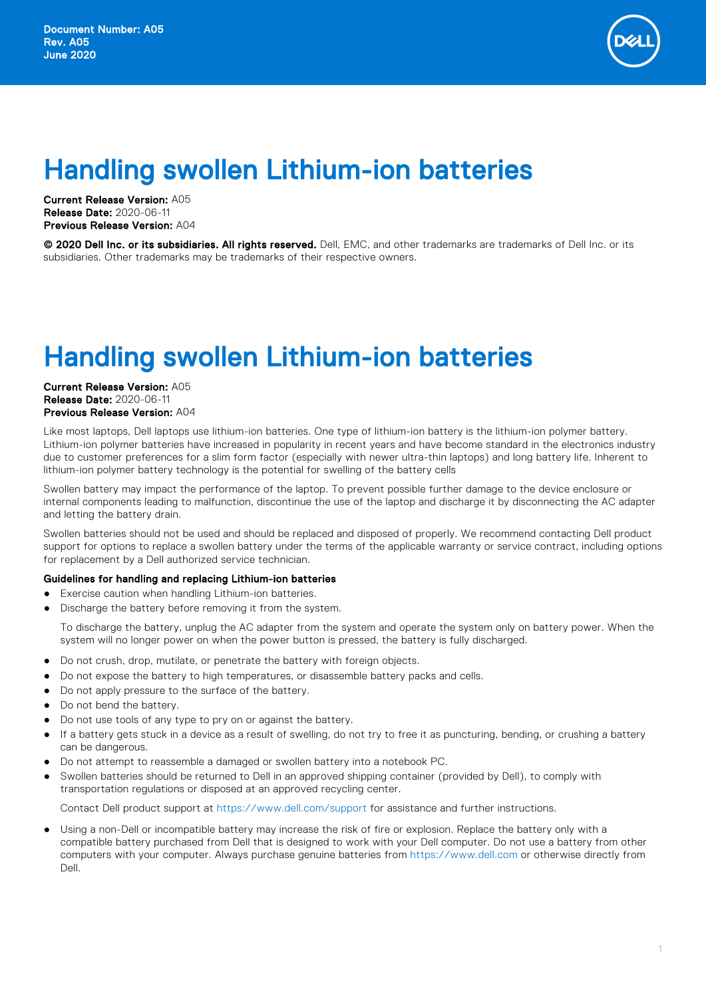

## Handling swollen Lithium-ion batteries

Current Release Version: A05 Release Date: 2020-06-11 Previous Release Version: A04

© 2020 Dell Inc. or its subsidiaries. All rights reserved. Dell, EMC, and other trademarks are trademarks of Dell Inc. or its subsidiaries. Other trademarks may be trademarks of their respective owners.

## Handling swollen Lithium-ion batteries

Current Release Version: A05 Release Date: 2020-06-11 Previous Release Version: A04

Like most laptops, Dell laptops use lithium-ion batteries. One type of lithium-ion battery is the lithium-ion polymer battery. Lithium-ion polymer batteries have increased in popularity in recent years and have become standard in the electronics industry due to customer preferences for a slim form factor (especially with newer ultra-thin laptops) and long battery life. Inherent to lithium-ion polymer battery technology is the potential for swelling of the battery cells

Swollen battery may impact the performance of the laptop. To prevent possible further damage to the device enclosure or internal components leading to malfunction, discontinue the use of the laptop and discharge it by disconnecting the AC adapter and letting the battery drain.

Swollen batteries should not be used and should be replaced and disposed of properly. We recommend contacting Dell product support for options to replace a swollen battery under the terms of the applicable warranty or service contract, including options for replacement by a Dell authorized service technician.

## Guidelines for handling and replacing Lithium-ion batteries

- Exercise caution when handling Lithium-ion batteries.
- Discharge the battery before removing it from the system.

To discharge the battery, unplug the AC adapter from the system and operate the system only on battery power. When the system will no longer power on when the power button is pressed, the battery is fully discharged.

- Do not crush, drop, mutilate, or penetrate the battery with foreign objects.
- Do not expose the battery to high temperatures, or disassemble battery packs and cells.
- Do not apply pressure to the surface of the battery.
- Do not bend the battery.
- Do not use tools of any type to pry on or against the battery.
- If a battery gets stuck in a device as a result of swelling, do not try to free it as puncturing, bending, or crushing a battery can be dangerous.
- Do not attempt to reassemble a damaged or swollen battery into a notebook PC.
- Swollen batteries should be returned to Dell in an approved shipping container (provided by Dell), to comply with transportation regulations or disposed at an approved recycling center.

Contact Dell product support at <https://www.dell.com/support> for assistance and further instructions.

Using a non-Dell or incompatible battery may increase the risk of fire or explosion. Replace the battery only with a compatible battery purchased from Dell that is designed to work with your Dell computer. Do not use a battery from other computers with your computer. Always purchase genuine batteries from <https://www.dell.com>or otherwise directly from Dell.